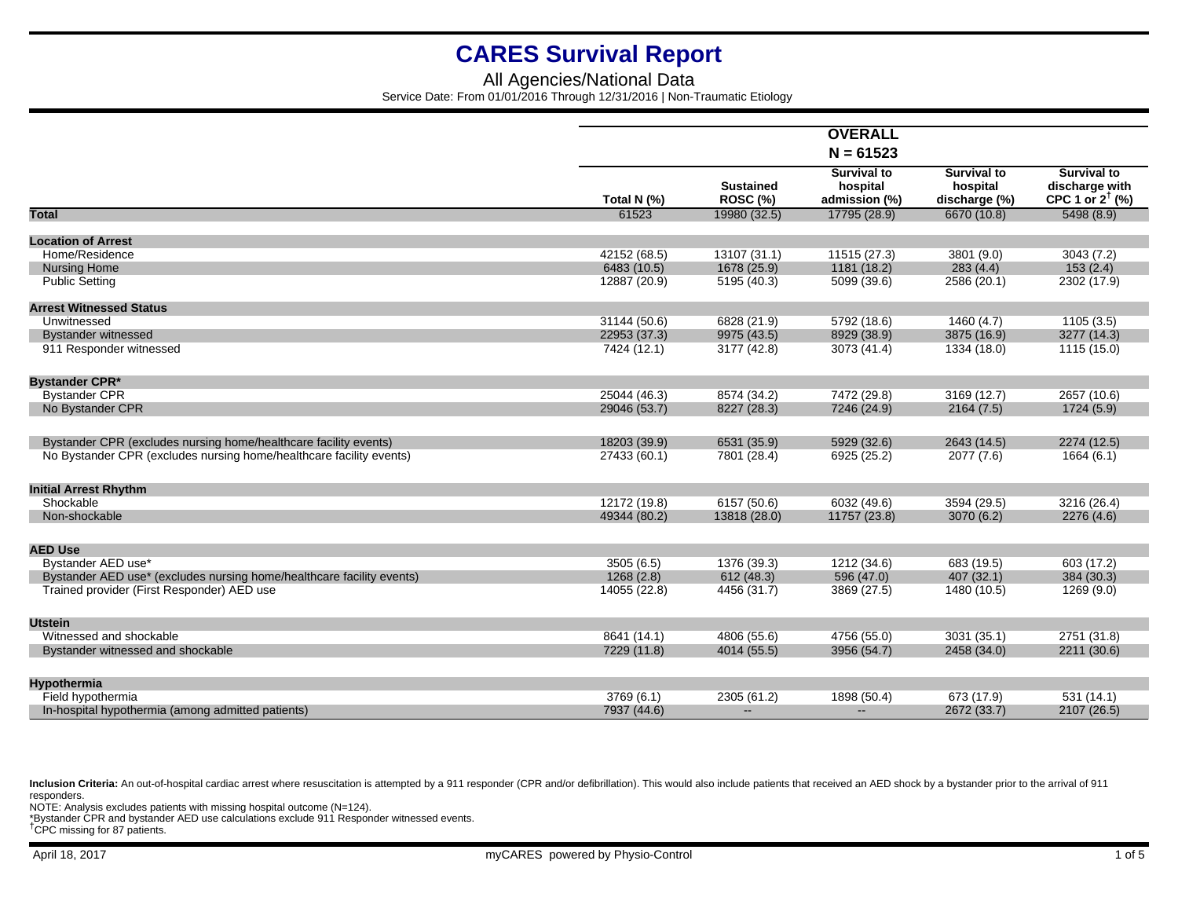## All Agencies/National Data Service Date: From 01/01/2016 Through 12/31/2016 | Non-Traumatic Etiology

|                                                                       |                            |                                     | <b>OVERALL</b>                                  |                                                 |                                                                    |
|-----------------------------------------------------------------------|----------------------------|-------------------------------------|-------------------------------------------------|-------------------------------------------------|--------------------------------------------------------------------|
|                                                                       |                            |                                     | $N = 61523$                                     |                                                 |                                                                    |
|                                                                       | Total N (%)                | <b>Sustained</b><br><b>ROSC (%)</b> | <b>Survival to</b><br>hospital<br>admission (%) | <b>Survival to</b><br>hospital<br>discharge (%) | <b>Survival to</b><br>discharge with<br>CPC 1 or $2^{\dagger}$ (%) |
| <b>Total</b>                                                          | 61523                      | 19980 (32.5)                        | 17795 (28.9)                                    | 6670 (10.8)                                     | 5498(8.9)                                                          |
| <b>Location of Arrest</b>                                             |                            |                                     |                                                 |                                                 |                                                                    |
| Home/Residence                                                        | 42152 (68.5)               | 13107 (31.1)                        | 11515 (27.3)                                    | 3801 (9.0)                                      | 3043(7.2)                                                          |
| <b>Nursing Home</b>                                                   | 6483 (10.5)                | 1678 (25.9)                         | 1181 (18.2)                                     | 283(4.4)                                        | 153(2.4)                                                           |
| <b>Public Setting</b>                                                 | 12887 (20.9)               | 5195 (40.3)                         | 5099 (39.6)                                     | 2586 (20.1)                                     | 2302 (17.9)                                                        |
| <b>Arrest Witnessed Status</b>                                        |                            |                                     |                                                 |                                                 |                                                                    |
| Unwitnessed                                                           | 31144 (50.6)               | 6828 (21.9)                         | 5792 (18.6)                                     | 1460(4.7)                                       | 1105(3.5)                                                          |
| <b>Bystander witnessed</b>                                            | 22953 (37.3)               | 9975 (43.5)                         | 8929 (38.9)                                     | 3875 (16.9)                                     | 3277 (14.3)                                                        |
| 911 Responder witnessed                                               | 7424 (12.1)                | 3177 (42.8)                         | 3073 (41.4)                                     | 1334 (18.0)                                     | 1115 (15.0)                                                        |
| <b>Bystander CPR*</b>                                                 |                            |                                     |                                                 |                                                 |                                                                    |
| <b>Bystander CPR</b>                                                  | 25044 (46.3)               | 8574 (34.2)                         | 7472 (29.8)                                     | 3169 (12.7)                                     | 2657 (10.6)                                                        |
| No Bystander CPR                                                      | 29046 (53.7)               | 8227 (28.3)                         | 7246 (24.9)                                     | 2164(7.5)                                       | 1724 (5.9)                                                         |
| Bystander CPR (excludes nursing home/healthcare facility events)      | 18203 (39.9)               | 6531 (35.9)                         | 5929 (32.6)                                     | 2643 (14.5)                                     | 2274 (12.5)                                                        |
| No Bystander CPR (excludes nursing home/healthcare facility events)   | 27433 (60.1)               | 7801 (28.4)                         | 6925 (25.2)                                     | 2077 (7.6)                                      | 1664 (6.1)                                                         |
| <b>Initial Arrest Rhythm</b>                                          |                            |                                     |                                                 |                                                 |                                                                    |
| Shockable                                                             | 12172 (19.8)               | 6157 (50.6)                         | 6032 (49.6)                                     | 3594 (29.5)                                     | 3216 (26.4)                                                        |
| Non-shockable                                                         | 49344 (80.2)               | 13818 (28.0)                        | 11757 (23.8)                                    | 3070 (6.2)                                      | 2276 (4.6)                                                         |
| <b>AED Use</b>                                                        |                            |                                     |                                                 |                                                 |                                                                    |
| Bystander AED use*                                                    | 3505 (6.5)                 | 1376 (39.3)                         | 1212 (34.6)                                     | 683 (19.5)                                      | 603 (17.2)                                                         |
| Bystander AED use* (excludes nursing home/healthcare facility events) | 1268(2.8)                  | 612 (48.3)                          | 596 (47.0)                                      | 407 (32.1)                                      | 384 (30.3)                                                         |
| Trained provider (First Responder) AED use                            | 14055 (22.8)               | 4456 (31.7)                         | 3869 (27.5)                                     | 1480 (10.5)                                     | 1269 (9.0)                                                         |
|                                                                       |                            |                                     |                                                 |                                                 |                                                                    |
| <b>Utstein</b><br>Witnessed and shockable                             |                            |                                     |                                                 |                                                 |                                                                    |
|                                                                       | 8641 (14.1)<br>7229 (11.8) | 4806 (55.6)<br>4014 (55.5)          | 4756 (55.0)<br>3956 (54.7)                      | 3031 (35.1)<br>2458 (34.0)                      | 2751 (31.8)<br>2211 (30.6)                                         |
| Bystander witnessed and shockable                                     |                            |                                     |                                                 |                                                 |                                                                    |
| <b>Hypothermia</b>                                                    |                            |                                     |                                                 |                                                 |                                                                    |
| Field hypothermia                                                     | 3769 (6.1)                 | 2305 (61.2)                         | 1898 (50.4)                                     | 673 (17.9)                                      | 531(14.1)                                                          |
| In-hospital hypothermia (among admitted patients)                     | 7937 (44.6)                | $\overline{\phantom{a}}$            | $-$                                             | 2672 (33.7)                                     | 2107 (26.5)                                                        |

Inclusion Criteria: An out-of-hospital cardiac arrest where resuscitation is attempted by a 911 responder (CPR and/or defibrillation). This would also include patients that received an AED shock by a bystander prior to the responders.

NOTE: Analysis excludes patients with missing hospital outcome (N=124). \*Bystander CPR and bystander AED use calculations exclude 911 Responder witnessed events. †CPC missing for 87 patients.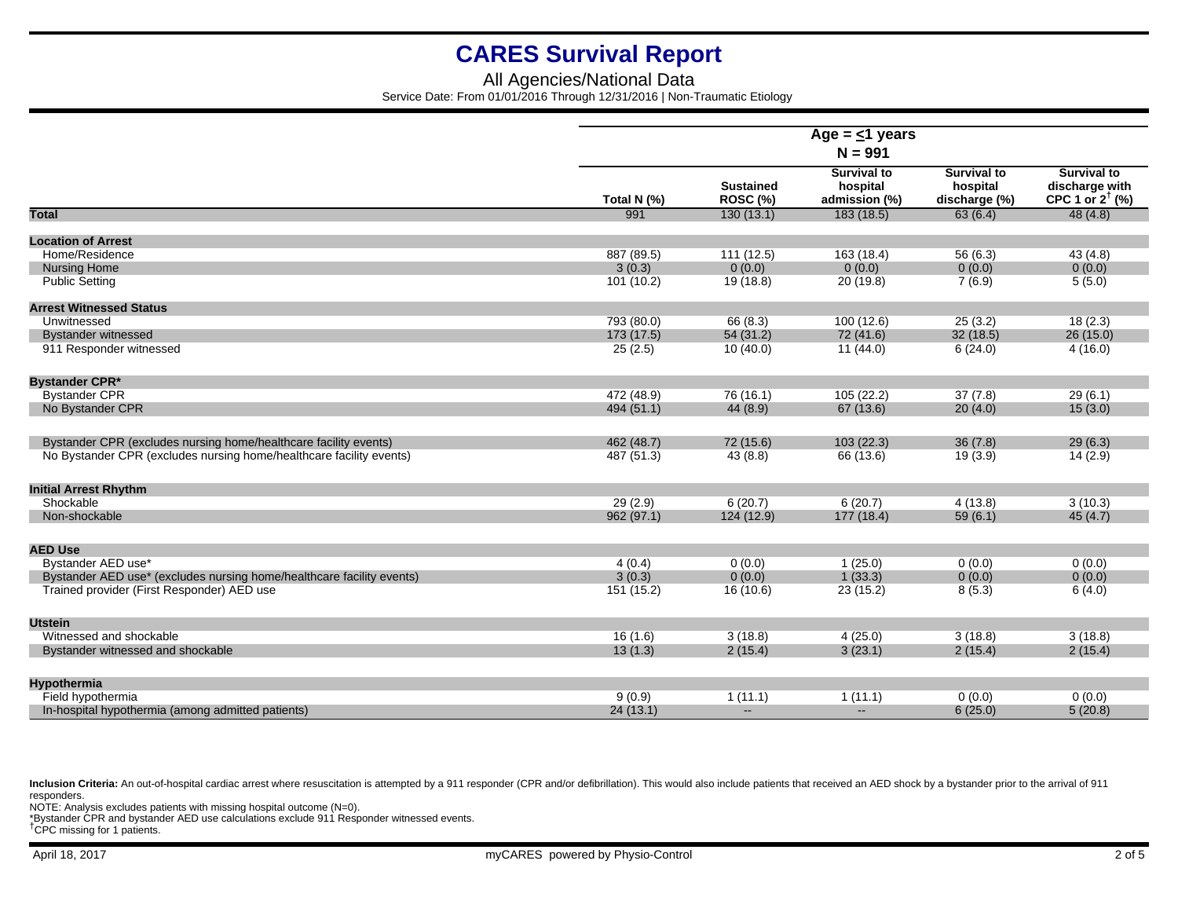## All Agencies/National Data Service Date: From 01/01/2016 Through 12/31/2016 | Non-Traumatic Etiology

|                                                                       | Age = $\leq$ 1 years |                                     |                                                 |                                                 |                                                                    |  |
|-----------------------------------------------------------------------|----------------------|-------------------------------------|-------------------------------------------------|-------------------------------------------------|--------------------------------------------------------------------|--|
|                                                                       | $N = 991$            |                                     |                                                 |                                                 |                                                                    |  |
|                                                                       | Total N (%)          | <b>Sustained</b><br><b>ROSC (%)</b> | <b>Survival to</b><br>hospital<br>admission (%) | <b>Survival to</b><br>hospital<br>discharge (%) | <b>Survival to</b><br>discharge with<br>CPC 1 or $2^{\dagger}$ (%) |  |
| <b>Total</b>                                                          | 991                  | 130(13.1)                           | 183 (18.5)                                      | 63(6.4)                                         | 48(4.8)                                                            |  |
| <b>Location of Arrest</b>                                             |                      |                                     |                                                 |                                                 |                                                                    |  |
| Home/Residence                                                        | 887 (89.5)           | 111(12.5)                           | 163 (18.4)                                      | 56 (6.3)                                        | 43(4.8)                                                            |  |
| <b>Nursing Home</b>                                                   | 3(0.3)               | 0(0.0)                              | 0(0.0)                                          | 0(0.0)                                          | 0(0.0)                                                             |  |
| <b>Public Setting</b>                                                 | 101 (10.2)           | 19 (18.8)                           | 20 (19.8)                                       | 7(6.9)                                          | 5(5.0)                                                             |  |
| <b>Arrest Witnessed Status</b>                                        |                      |                                     |                                                 |                                                 |                                                                    |  |
| Unwitnessed                                                           | 793 (80.0)           | 66 (8.3)                            | 100 (12.6)                                      | 25(3.2)                                         | 18(2.3)                                                            |  |
| <b>Bystander witnessed</b>                                            | 173(17.5)            | 54(31.2)                            | 72 (41.6)                                       | 32(18.5)                                        | 26(15.0)                                                           |  |
| 911 Responder witnessed                                               | 25(2.5)              | 10(40.0)                            | 11 (44.0)                                       | 6(24.0)                                         | 4(16.0)                                                            |  |
| <b>Bystander CPR*</b>                                                 |                      |                                     |                                                 |                                                 |                                                                    |  |
| <b>Bystander CPR</b>                                                  | 472 (48.9)           | 76 (16.1)                           | 105 (22.2)                                      | 37(7.8)                                         | 29(6.1)                                                            |  |
| No Bystander CPR                                                      | 494 (51.1)           | 44 (8.9)                            | 67(13.6)                                        | 20(4.0)                                         | 15(3.0)                                                            |  |
| Bystander CPR (excludes nursing home/healthcare facility events)      | 462 (48.7)           | 72 (15.6)                           | 103(22.3)                                       | 36(7.8)                                         | 29(6.3)                                                            |  |
| No Bystander CPR (excludes nursing home/healthcare facility events)   | 487 (51.3)           | 43(8.8)                             | 66 (13.6)                                       | 19(3.9)                                         | 14 (2.9)                                                           |  |
| <b>Initial Arrest Rhythm</b>                                          |                      |                                     |                                                 |                                                 |                                                                    |  |
| Shockable                                                             | 29(2.9)              | 6(20.7)                             | 6(20.7)                                         | 4(13.8)                                         | 3(10.3)                                                            |  |
| Non-shockable                                                         | 962 (97.1)           | 124(12.9)                           | 177 (18.4)                                      | 59(6.1)                                         | 45(4.7)                                                            |  |
| <b>AED Use</b>                                                        |                      |                                     |                                                 |                                                 |                                                                    |  |
| Bystander AED use*                                                    | 4(0.4)               | 0(0.0)                              | 1(25.0)                                         | 0(0.0)                                          | 0(0.0)                                                             |  |
| Bystander AED use* (excludes nursing home/healthcare facility events) | 3(0.3)               | 0(0.0)                              | 1(33.3)                                         | 0(0.0)                                          | 0(0.0)                                                             |  |
| Trained provider (First Responder) AED use                            | 151 (15.2)           | 16 (10.6)                           | 23(15.2)                                        | 8(5.3)                                          | 6(4.0)                                                             |  |
|                                                                       |                      |                                     |                                                 |                                                 |                                                                    |  |
| <b>Utstein</b><br>Witnessed and shockable                             |                      |                                     |                                                 |                                                 |                                                                    |  |
|                                                                       | 16(1.6)<br>13(1.3)   | 3(18.8)<br>2(15.4)                  | 4(25.0)<br>3(23.1)                              | 3(18.8)<br>2(15.4)                              | 3(18.8)<br>2(15.4)                                                 |  |
| Bystander witnessed and shockable                                     |                      |                                     |                                                 |                                                 |                                                                    |  |
| <b>Hypothermia</b>                                                    |                      |                                     |                                                 |                                                 |                                                                    |  |
| Field hypothermia                                                     | 9(0.9)               | 1(11.1)                             | 1(11.1)                                         | 0(0.0)                                          | 0(0.0)                                                             |  |
| In-hospital hypothermia (among admitted patients)                     | 24(13.1)             | $\mathbf{L}$                        | Ξ.                                              | 6(25.0)                                         | 5(20.8)                                                            |  |

Inclusion Criteria: An out-of-hospital cardiac arrest where resuscitation is attempted by a 911 responder (CPR and/or defibrillation). This would also include patients that received an AED shock by a bystander prior to the responders.

NOTE: Analysis excludes patients with missing hospital outcome (N=0).

\*Bystander CPR and bystander AED use calculations exclude 911 Responder witnessed events. †CPC missing for 1 patients.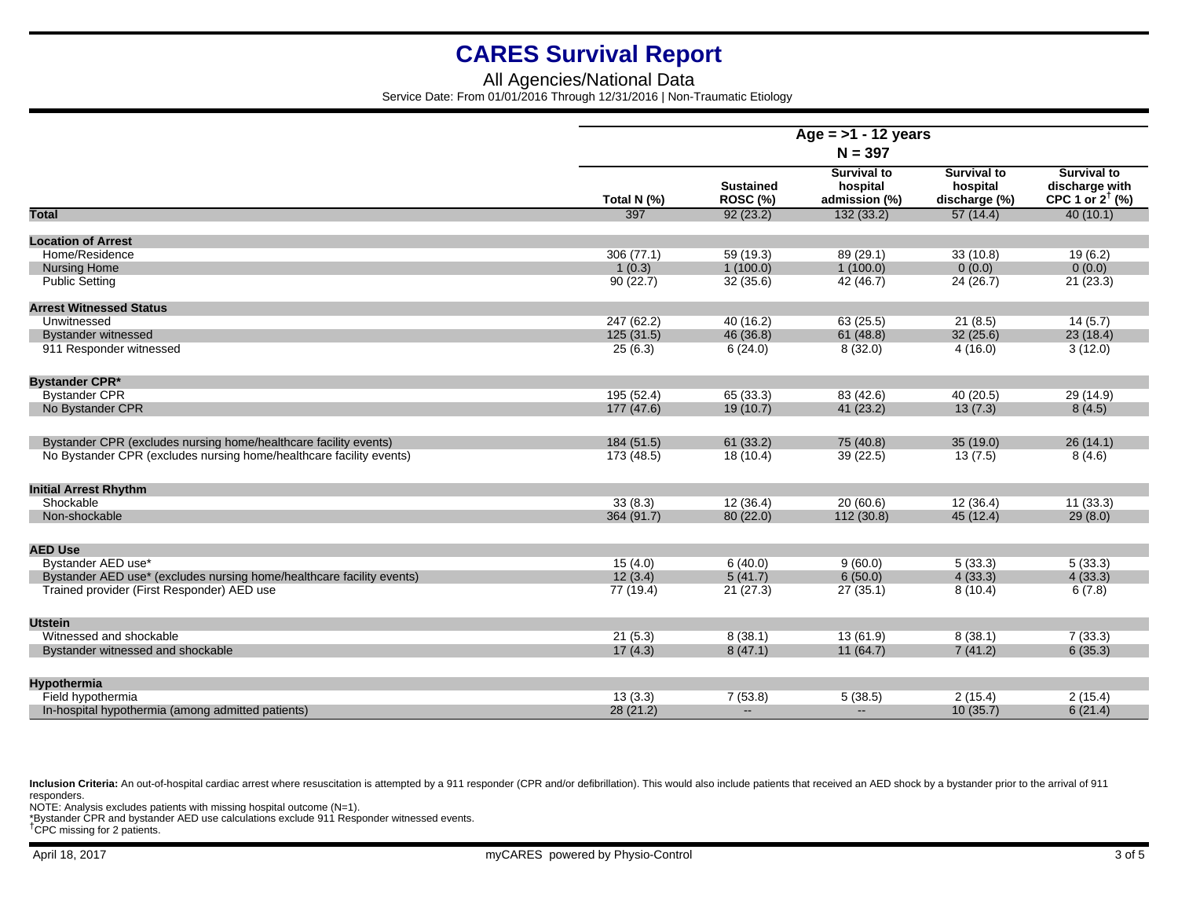## All Agencies/National Data Service Date: From 01/01/2016 Through 12/31/2016 | Non-Traumatic Etiology

|                                                                       | Age = $>1$ - 12 years |                                     |                                                 |                                                 |                                                                    |  |  |
|-----------------------------------------------------------------------|-----------------------|-------------------------------------|-------------------------------------------------|-------------------------------------------------|--------------------------------------------------------------------|--|--|
|                                                                       | $N = 397$             |                                     |                                                 |                                                 |                                                                    |  |  |
|                                                                       | Total N (%)           | <b>Sustained</b><br><b>ROSC (%)</b> | <b>Survival to</b><br>hospital<br>admission (%) | <b>Survival to</b><br>hospital<br>discharge (%) | <b>Survival to</b><br>discharge with<br>CPC 1 or $2^{\dagger}$ (%) |  |  |
| <b>Total</b>                                                          | 397                   | 92(23.2)                            | 132(33.2)                                       | 57(14.4)                                        | 40(10.1)                                                           |  |  |
| <b>Location of Arrest</b>                                             |                       |                                     |                                                 |                                                 |                                                                    |  |  |
| Home/Residence                                                        | 306(77.1)             | 59(19.3)                            | 89 (29.1)                                       | 33(10.8)                                        | 19(6.2)                                                            |  |  |
| <b>Nursing Home</b>                                                   | 1(0.3)                | 1(100.0)                            | 1(100.0)                                        | 0(0.0)                                          | 0(0.0)                                                             |  |  |
| <b>Public Setting</b>                                                 | 90(22.7)              | 32(35.6)                            | 42 (46.7)                                       | 24(26.7)                                        | 21(23.3)                                                           |  |  |
|                                                                       |                       |                                     |                                                 |                                                 |                                                                    |  |  |
| <b>Arrest Witnessed Status</b>                                        |                       |                                     |                                                 |                                                 |                                                                    |  |  |
| Unwitnessed                                                           | 247 (62.2)            | 40 (16.2)                           | 63(25.5)                                        | 21(8.5)                                         | 14(5.7)                                                            |  |  |
| <b>Bystander witnessed</b>                                            | 125(31.5)             | 46 (36.8)                           | 61(48.8)                                        | 32(25.6)                                        | 23(18.4)                                                           |  |  |
| 911 Responder witnessed                                               | 25(6.3)               | 6(24.0)                             | 8(32.0)                                         | 4(16.0)                                         | 3(12.0)                                                            |  |  |
| <b>Bystander CPR*</b>                                                 |                       |                                     |                                                 |                                                 |                                                                    |  |  |
| <b>Bystander CPR</b>                                                  | 195 (52.4)            | 65 (33.3)                           | 83 (42.6)                                       | 40 (20.5)                                       | 29 (14.9)                                                          |  |  |
| No Bystander CPR                                                      | 177(47.6)             | 19(10.7)                            | 41(23.2)                                        | 13(7.3)                                         | 8(4.5)                                                             |  |  |
| Bystander CPR (excludes nursing home/healthcare facility events)      | 184(51.5)             | 61(33.2)                            | 75 (40.8)                                       | 35(19.0)                                        | 26(14.1)                                                           |  |  |
| No Bystander CPR (excludes nursing home/healthcare facility events)   | 173 (48.5)            | 18 (10.4)                           | 39(22.5)                                        | 13(7.5)                                         | 8(4.6)                                                             |  |  |
| <b>Initial Arrest Rhythm</b>                                          |                       |                                     |                                                 |                                                 |                                                                    |  |  |
| Shockable                                                             | 33(8.3)               | 12(36.4)                            | 20(60.6)                                        | 12(36.4)                                        | 11(33.3)                                                           |  |  |
| Non-shockable                                                         | 364 (91.7)            | 80(22.0)                            | 112 (30.8)                                      | 45 (12.4)                                       | 29(8.0)                                                            |  |  |
|                                                                       |                       |                                     |                                                 |                                                 |                                                                    |  |  |
| <b>AED Use</b>                                                        |                       |                                     |                                                 |                                                 |                                                                    |  |  |
| Bystander AED use*                                                    | 15(4.0)               | 6(40.0)                             | 9(60.0)                                         | 5(33.3)                                         | 5(33.3)                                                            |  |  |
| Bystander AED use* (excludes nursing home/healthcare facility events) | 12(3.4)               | 5(41.7)                             | 6(50.0)                                         | 4(33.3)                                         | 4(33.3)                                                            |  |  |
| Trained provider (First Responder) AED use                            | 77 (19.4)             | 21(27.3)                            | 27(35.1)                                        | 8(10.4)                                         | 6(7.8)                                                             |  |  |
| <b>Utstein</b>                                                        |                       |                                     |                                                 |                                                 |                                                                    |  |  |
| Witnessed and shockable                                               | 21(5.3)               | 8(38.1)                             | 13(61.9)                                        | 8(38.1)                                         | 7(33.3)                                                            |  |  |
| Bystander witnessed and shockable                                     | 17(4.3)               | 8(47.1)                             | 11(64.7)                                        | 7(41.2)                                         | 6(35.3)                                                            |  |  |
| <b>Hypothermia</b>                                                    |                       |                                     |                                                 |                                                 |                                                                    |  |  |
| Field hypothermia                                                     | 13(3.3)               | 7(53.8)                             | 5(38.5)                                         | 2(15.4)                                         | 2(15.4)                                                            |  |  |
| In-hospital hypothermia (among admitted patients)                     | 28(21.2)              | $\sim$                              | $\qquad \qquad -$                               | 10(35.7)                                        | 6(21.4)                                                            |  |  |

Inclusion Criteria: An out-of-hospital cardiac arrest where resuscitation is attempted by a 911 responder (CPR and/or defibrillation). This would also include patients that received an AED shock by a bystander prior to the responders.

NOTE: Analysis excludes patients with missing hospital outcome (N=1).

\*Bystander CPR and bystander AED use calculations exclude 911 Responder witnessed events. †CPC missing for 2 patients.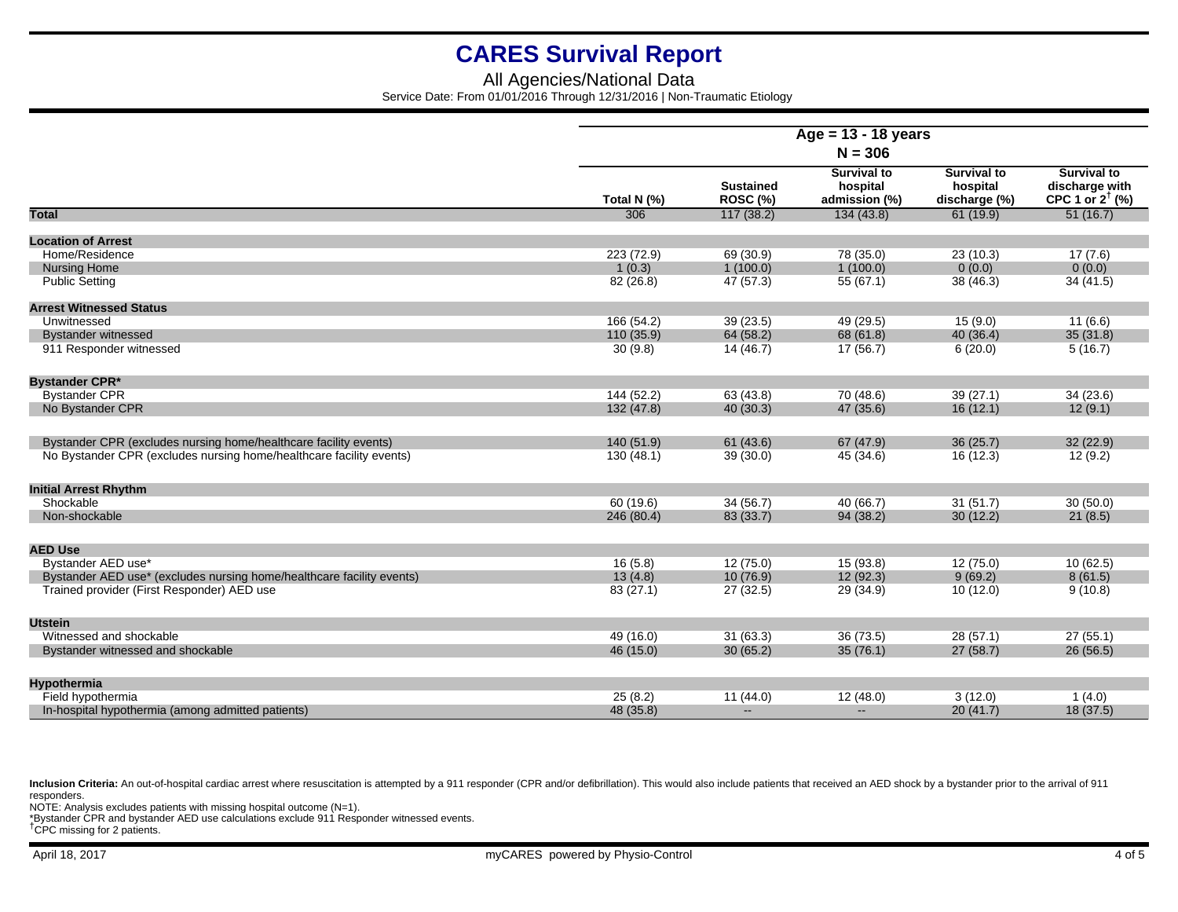## All Agencies/National Data Service Date: From 01/01/2016 Through 12/31/2016 | Non-Traumatic Etiology

|                                                                                                                     | Age = $13 - 18$ years<br>$N = 306$ |                              |                                                 |                                                 |                                                                    |
|---------------------------------------------------------------------------------------------------------------------|------------------------------------|------------------------------|-------------------------------------------------|-------------------------------------------------|--------------------------------------------------------------------|
|                                                                                                                     |                                    |                              |                                                 |                                                 |                                                                    |
|                                                                                                                     | Total N (%)                        | <b>Sustained</b><br>ROSC (%) | <b>Survival to</b><br>hospital<br>admission (%) | <b>Survival to</b><br>hospital<br>discharge (%) | <b>Survival to</b><br>discharge with<br>CPC 1 or $2^{\dagger}$ (%) |
| <b>Total</b>                                                                                                        | 306                                | 117(38.2)                    | 134(43.8)                                       | 61(19.9)                                        | 51(16.7)                                                           |
| <b>Location of Arrest</b>                                                                                           |                                    |                              |                                                 |                                                 |                                                                    |
| Home/Residence                                                                                                      | 223 (72.9)                         | 69 (30.9)                    | 78 (35.0)                                       | 23(10.3)                                        | 17(7.6)                                                            |
| <b>Nursing Home</b>                                                                                                 | 1(0.3)                             | 1(100.0)                     | 1(100.0)                                        | 0(0.0)                                          | 0(0.0)                                                             |
| <b>Public Setting</b>                                                                                               | 82 (26.8)                          | 47 (57.3)                    | 55(67.1)                                        | 38 (46.3)                                       | 34(41.5)                                                           |
| <b>Arrest Witnessed Status</b>                                                                                      |                                    |                              |                                                 |                                                 |                                                                    |
| Unwitnessed                                                                                                         | 166 (54.2)                         | 39 (23.5)                    | 49 (29.5)                                       | 15(9.0)                                         | 11(6.6)                                                            |
| <b>Bystander witnessed</b>                                                                                          | 110 (35.9)                         | 64 (58.2)                    | 68 (61.8)                                       | 40 (36.4)                                       | 35(31.8)                                                           |
| 911 Responder witnessed                                                                                             | 30(9.8)                            | 14(46.7)                     | 17(56.7)                                        | 6(20.0)                                         | 5(16.7)                                                            |
| <b>Bystander CPR*</b>                                                                                               |                                    |                              |                                                 |                                                 |                                                                    |
| <b>Bystander CPR</b>                                                                                                | 144 (52.2)                         | 63 (43.8)                    | 70 (48.6)                                       | 39(27.1)                                        | 34(23.6)                                                           |
| No Bystander CPR                                                                                                    | 132 (47.8)                         | 40(30.3)                     | 47 (35.6)                                       | 16(12.1)                                        | 12(9.1)                                                            |
| Bystander CPR (excludes nursing home/healthcare facility events)                                                    | 140 (51.9)                         | 61(43.6)                     | 67 (47.9)                                       | 36(25.7)                                        | 32(22.9)                                                           |
| No Bystander CPR (excludes nursing home/healthcare facility events)                                                 | 130(48.1)                          | 39(30.0)                     | 45 (34.6)                                       | 16 (12.3)                                       | 12(9.2)                                                            |
| <b>Initial Arrest Rhythm</b>                                                                                        |                                    |                              |                                                 |                                                 |                                                                    |
| Shockable                                                                                                           | 60(19.6)                           | 34(56.7)                     | 40 (66.7)                                       | 31(51.7)                                        | 30(50.0)                                                           |
| Non-shockable                                                                                                       | 246 (80.4)                         | 83 (33.7)                    | 94(38.2)                                        | 30(12.2)                                        | 21(8.5)                                                            |
|                                                                                                                     |                                    |                              |                                                 |                                                 |                                                                    |
| <b>AED Use</b>                                                                                                      |                                    |                              |                                                 |                                                 |                                                                    |
| Bystander AED use*                                                                                                  | 16(5.8)                            | 12 (75.0)                    | 15 (93.8)                                       | 12(75.0)                                        | 10(62.5)                                                           |
| Bystander AED use* (excludes nursing home/healthcare facility events)<br>Trained provider (First Responder) AED use | 13(4.8)<br>83 (27.1)               | 10(76.9)<br>27 (32.5)        | 12(92.3)<br>29 (34.9)                           | 9(69.2)<br>10(12.0)                             | 8(61.5)<br>9(10.8)                                                 |
|                                                                                                                     |                                    |                              |                                                 |                                                 |                                                                    |
| <b>Utstein</b>                                                                                                      |                                    |                              |                                                 |                                                 |                                                                    |
| Witnessed and shockable                                                                                             | 49 (16.0)                          | 31(63.3)                     | 36(73.5)                                        | 28(57.1)                                        | 27(55.1)                                                           |
| Bystander witnessed and shockable                                                                                   | 46 (15.0)                          | 30(65.2)                     | 35(76.1)                                        | 27(58.7)                                        | 26(56.5)                                                           |
| Hypothermia                                                                                                         |                                    |                              |                                                 |                                                 |                                                                    |
| Field hypothermia                                                                                                   | 25(8.2)                            | 11(44.0)                     | 12(48.0)                                        | 3(12.0)                                         | 1(4.0)                                                             |
| In-hospital hypothermia (among admitted patients)                                                                   | 48 (35.8)                          | $\overline{\phantom{a}}$     | $\overline{\phantom{a}}$                        | 20(41.7)                                        | 18(37.5)                                                           |

Inclusion Criteria: An out-of-hospital cardiac arrest where resuscitation is attempted by a 911 responder (CPR and/or defibrillation). This would also include patients that received an AED shock by a bystander prior to the responders.

NOTE: Analysis excludes patients with missing hospital outcome (N=1).

\*Bystander CPR and bystander AED use calculations exclude 911 Responder witnessed events. †CPC missing for 2 patients.